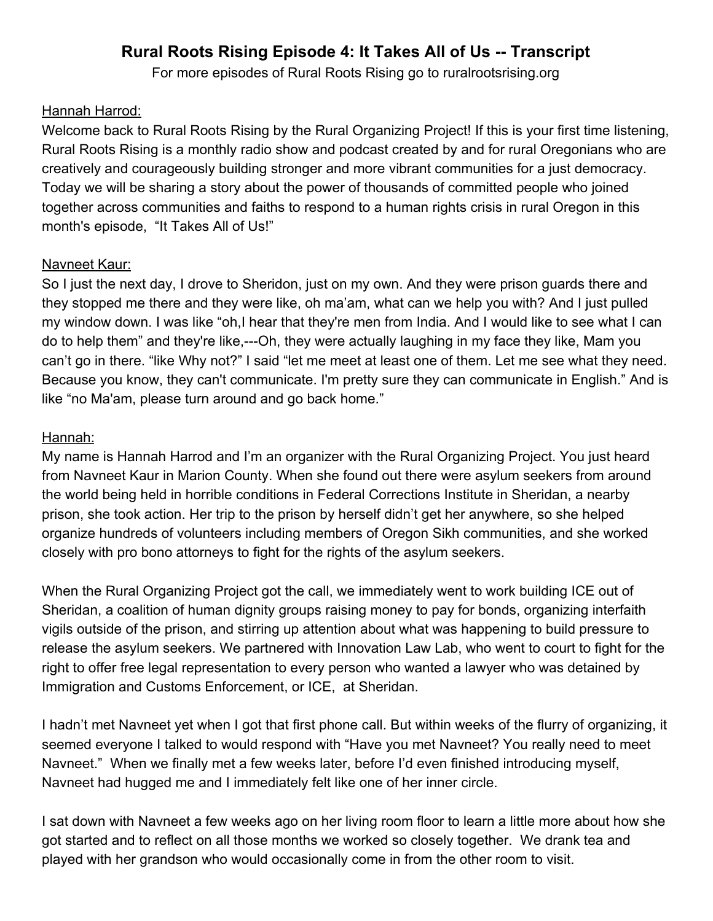# **Rural Roots Rising Episode 4: It Takes All of Us -- Transcript**

For more episodes of Rural Roots Rising go to ruralrootsrising.org

### Hannah Harrod:

Welcome back to Rural Roots Rising by the Rural Organizing Project! If this is your first time listening, Rural Roots Rising is a monthly radio show and podcast created by and for rural Oregonians who are creatively and courageously building stronger and more vibrant communities for a just democracy. Today we will be sharing a story about the power of thousands of committed people who joined together across communities and faiths to respond to a human rights crisis in rural Oregon in this month's episode, "It Takes All of Us!"

## Navneet Kaur:

So I just the next day, I drove to Sheridon, just on my own. And they were prison guards there and they stopped me there and they were like, oh ma'am, what can we help you with? And I just pulled my window down. I was like "oh,I hear that they're men from India. And I would like to see what I can do to help them" and they're like,---Oh, they were actually laughing in my face they like, Mam you can't go in there. "like Why not?" I said "let me meet at least one of them. Let me see what they need. Because you know, they can't communicate. I'm pretty sure they can communicate in English." And is like "no Ma'am, please turn around and go back home."

### Hannah:

My name is Hannah Harrod and I'm an organizer with the Rural Organizing Project. You just heard from Navneet Kaur in Marion County. When she found out there were asylum seekers from around the world being held in horrible conditions in Federal Corrections Institute in Sheridan, a nearby prison, she took action. Her trip to the prison by herself didn't get her anywhere, so she helped organize hundreds of volunteers including members of Oregon Sikh communities, and she worked closely with pro bono attorneys to fight for the rights of the asylum seekers.

When the Rural Organizing Project got the call, we immediately went to work building ICE out of Sheridan, a coalition of human dignity groups raising money to pay for bonds, organizing interfaith vigils outside of the prison, and stirring up attention about what was happening to build pressure to release the asylum seekers. We partnered with Innovation Law Lab, who went to court to fight for the right to offer free legal representation to every person who wanted a lawyer who was detained by Immigration and Customs Enforcement, or ICE, at Sheridan.

I hadn't met Navneet yet when I got that first phone call. But within weeks of the flurry of organizing, it seemed everyone I talked to would respond with "Have you met Navneet? You really need to meet Navneet." When we finally met a few weeks later, before I'd even finished introducing myself, Navneet had hugged me and I immediately felt like one of her inner circle.

I sat down with Navneet a few weeks ago on her living room floor to learn a little more about how she got started and to reflect on all those months we worked so closely together. We drank tea and played with her grandson who would occasionally come in from the other room to visit.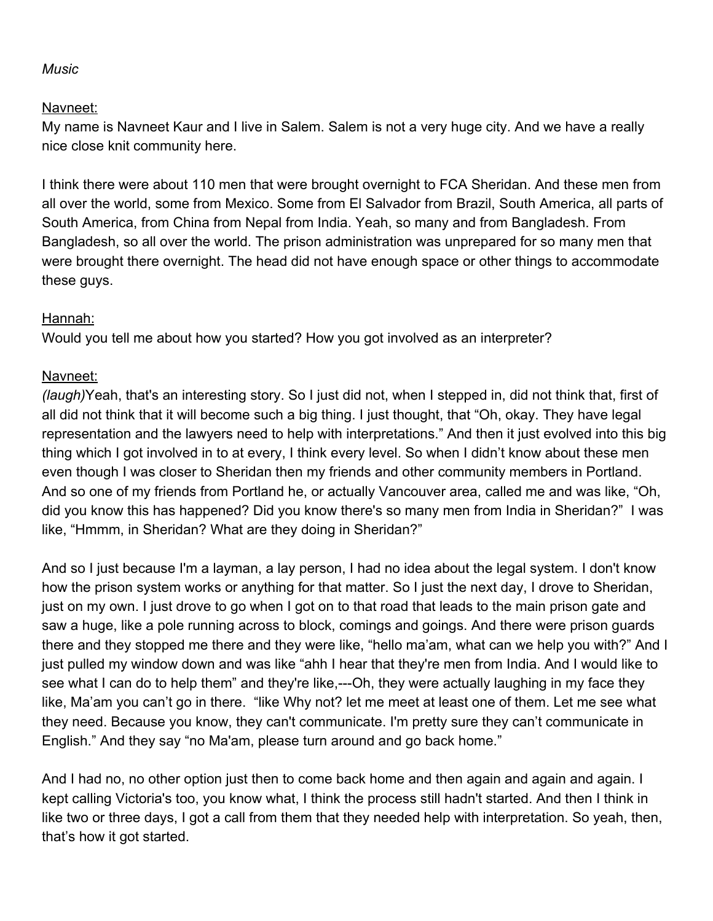#### *Music*

## Navneet:

My name is Navneet Kaur and I live in Salem. Salem is not a very huge city. And we have a really nice close knit community here.

I think there were about 110 men that were brought overnight to FCA Sheridan. And these men from all over the world, some from Mexico. Some from El Salvador from Brazil, South America, all parts of South America, from China from Nepal from India. Yeah, so many and from Bangladesh. From Bangladesh, so all over the world. The prison administration was unprepared for so many men that were brought there overnight. The head did not have enough space or other things to accommodate these guys.

## Hannah:

Would you tell me about how you started? How you got involved as an interpreter?

## Navneet:

*(laugh)*Yeah, that's an interesting story. So I just did not, when I stepped in, did not think that, first of all did not think that it will become such a big thing. I just thought, that "Oh, okay. They have legal representation and the lawyers need to help with interpretations." And then it just evolved into this big thing which I got involved in to at every, I think every level. So when I didn't know about these men even though I was closer to Sheridan then my friends and other community members in Portland. And so one of my friends from Portland he, or actually Vancouver area, called me and was like, "Oh, did you know this has happened? Did you know there's so many men from India in Sheridan?" I was like, "Hmmm, in Sheridan? What are they doing in Sheridan?"

And so I just because I'm a layman, a lay person, I had no idea about the legal system. I don't know how the prison system works or anything for that matter. So I just the next day, I drove to Sheridan, just on my own. I just drove to go when I got on to that road that leads to the main prison gate and saw a huge, like a pole running across to block, comings and goings. And there were prison guards there and they stopped me there and they were like, "hello ma'am, what can we help you with?" And I just pulled my window down and was like "ahh I hear that they're men from India. And I would like to see what I can do to help them" and they're like,---Oh, they were actually laughing in my face they like, Ma'am you can't go in there. "like Why not? let me meet at least one of them. Let me see what they need. Because you know, they can't communicate. I'm pretty sure they can't communicate in English." And they say "no Ma'am, please turn around and go back home."

And I had no, no other option just then to come back home and then again and again and again. I kept calling Victoria's too, you know what, I think the process still hadn't started. And then I think in like two or three days, I got a call from them that they needed help with interpretation. So yeah, then, that's how it got started.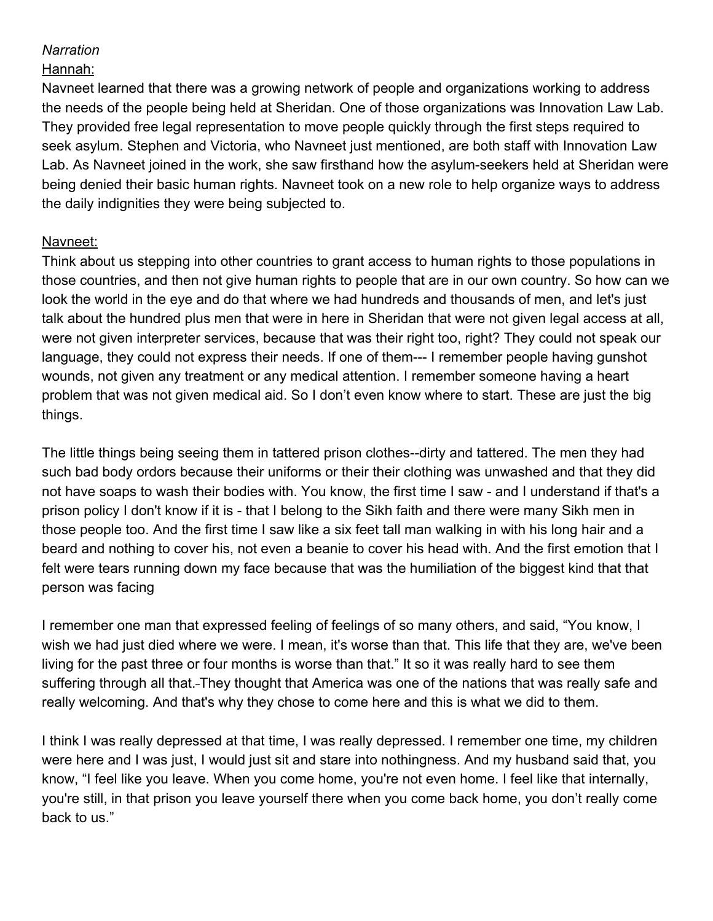## *Narration*

### Hannah:

Navneet learned that there was a growing network of people and organizations working to address the needs of the people being held at Sheridan. One of those organizations was Innovation Law Lab. They provided free legal representation to move people quickly through the first steps required to seek asylum. Stephen and Victoria, who Navneet just mentioned, are both staff with Innovation Law Lab. As Navneet joined in the work, she saw firsthand how the asylum-seekers held at Sheridan were being denied their basic human rights. Navneet took on a new role to help organize ways to address the daily indignities they were being subjected to.

## Navneet:

Think about us stepping into other countries to grant access to human rights to those populations in those countries, and then not give human rights to people that are in our own country. So how can we look the world in the eye and do that where we had hundreds and thousands of men, and let's just talk about the hundred plus men that were in here in Sheridan that were not given legal access at all, were not given interpreter services, because that was their right too, right? They could not speak our language, they could not express their needs. If one of them--- I remember people having gunshot wounds, not given any treatment or any medical attention. I remember someone having a heart problem that was not given medical aid. So I don't even know where to start. These are just the big things.

The little things being seeing them in tattered prison clothes--dirty and tattered. The men they had such bad body ordors because their uniforms or their their clothing was unwashed and that they did not have soaps to wash their bodies with. You know, the first time I saw - and I understand if that's a prison policy I don't know if it is - that I belong to the Sikh faith and there were many Sikh men in those people too. And the first time I saw like a six feet tall man walking in with his long hair and a beard and nothing to cover his, not even a beanie to cover his head with. And the first emotion that I felt were tears running down my face because that was the humiliation of the biggest kind that that person was facing

I remember one man that expressed feeling of feelings of so many others, and said, "You know, I wish we had just died where we were. I mean, it's worse than that. This life that they are, we've been living for the past three or four months is worse than that." It so it was really hard to see them suffering through all that. They thought that America was one of the nations that was really safe and really welcoming. And that's why they chose to come here and this is what we did to them.

I think I was really depressed at that time, I was really depressed. I remember one time, my children were here and I was just, I would just sit and stare into nothingness. And my husband said that, you know, "I feel like you leave. When you come home, you're not even home. I feel like that internally, you're still, in that prison you leave yourself there when you come back home, you don't really come back to us."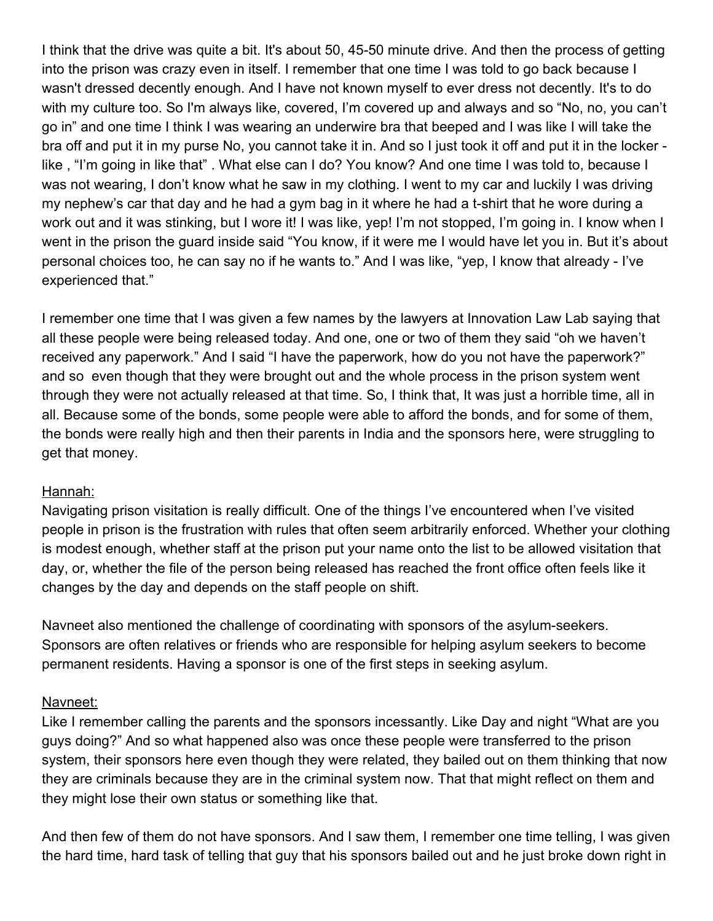I think that the drive was quite a bit. It's about 50, 45-50 minute drive. And then the process of getting into the prison was crazy even in itself. I remember that one time I was told to go back because I wasn't dressed decently enough. And I have not known myself to ever dress not decently. It's to do with my culture too. So I'm always like, covered, I'm covered up and always and so "No, no, you can't go in" and one time I think I was wearing an underwire bra that beeped and I was like I will take the bra off and put it in my purse No, you cannot take it in. And so I just took it off and put it in the locker like , "I'm going in like that" . What else can I do? You know? And one time I was told to, because I was not wearing, I don't know what he saw in my clothing. I went to my car and luckily I was driving my nephew's car that day and he had a gym bag in it where he had a t-shirt that he wore during a work out and it was stinking, but I wore it! I was like, yep! I'm not stopped, I'm going in. I know when I went in the prison the guard inside said "You know, if it were me I would have let you in. But it's about personal choices too, he can say no if he wants to." And I was like, "yep, I know that already - I've experienced that."

I remember one time that I was given a few names by the lawyers at Innovation Law Lab saying that all these people were being released today. And one, one or two of them they said "oh we haven't received any paperwork." And I said "I have the paperwork, how do you not have the paperwork?" and so even though that they were brought out and the whole process in the prison system went through they were not actually released at that time. So, I think that, It was just a horrible time, all in all. Because some of the bonds, some people were able to afford the bonds, and for some of them, the bonds were really high and then their parents in India and the sponsors here, were struggling to get that money.

#### Hannah:

Navigating prison visitation is really difficult. One of the things I've encountered when I've visited people in prison is the frustration with rules that often seem arbitrarily enforced. Whether your clothing is modest enough, whether staff at the prison put your name onto the list to be allowed visitation that day, or, whether the file of the person being released has reached the front office often feels like it changes by the day and depends on the staff people on shift.

Navneet also mentioned the challenge of coordinating with sponsors of the asylum-seekers. Sponsors are often relatives or friends who are responsible for helping asylum seekers to become permanent residents. Having a sponsor is one of the first steps in seeking asylum.

#### Navneet:

Like I remember calling the parents and the sponsors incessantly. Like Day and night "What are you guys doing?" And so what happened also was once these people were transferred to the prison system, their sponsors here even though they were related, they bailed out on them thinking that now they are criminals because they are in the criminal system now. That that might reflect on them and they might lose their own status or something like that.

And then few of them do not have sponsors. And I saw them, I remember one time telling, I was given the hard time, hard task of telling that guy that his sponsors bailed out and he just broke down right in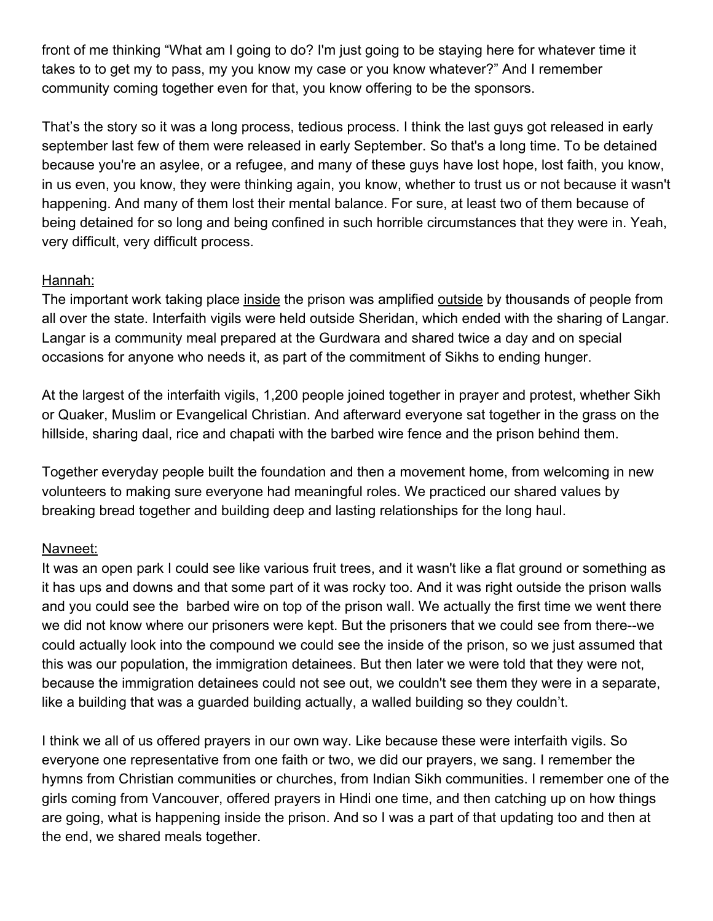front of me thinking "What am I going to do? I'm just going to be staying here for whatever time it takes to to get my to pass, my you know my case or you know whatever?" And I remember community coming together even for that, you know offering to be the sponsors.

That's the story so it was a long process, tedious process. I think the last guys got released in early september last few of them were released in early September. So that's a long time. To be detained because you're an asylee, or a refugee, and many of these guys have lost hope, lost faith, you know, in us even, you know, they were thinking again, you know, whether to trust us or not because it wasn't happening. And many of them lost their mental balance. For sure, at least two of them because of being detained for so long and being confined in such horrible circumstances that they were in. Yeah, very difficult, very difficult process.

## Hannah:

The important work taking place inside the prison was amplified outside by thousands of people from all over the state. Interfaith vigils were held outside Sheridan, which ended with the sharing of Langar. Langar is a community meal prepared at the Gurdwara and shared twice a day and on special occasions for anyone who needs it, as part of the commitment of Sikhs to ending hunger.

At the largest of the interfaith vigils, 1,200 people joined together in prayer and protest, whether Sikh or Quaker, Muslim or Evangelical Christian. And afterward everyone sat together in the grass on the hillside, sharing daal, rice and chapati with the barbed wire fence and the prison behind them.

Together everyday people built the foundation and then a movement home, from welcoming in new volunteers to making sure everyone had meaningful roles. We practiced our shared values by breaking bread together and building deep and lasting relationships for the long haul.

## Navneet:

It was an open park I could see like various fruit trees, and it wasn't like a flat ground or something as it has ups and downs and that some part of it was rocky too. And it was right outside the prison walls and you could see the barbed wire on top of the prison wall. We actually the first time we went there we did not know where our prisoners were kept. But the prisoners that we could see from there--we could actually look into the compound we could see the inside of the prison, so we just assumed that this was our population, the immigration detainees. But then later we were told that they were not, because the immigration detainees could not see out, we couldn't see them they were in a separate, like a building that was a guarded building actually, a walled building so they couldn't.

I think we all of us offered prayers in our own way. Like because these were interfaith vigils. So everyone one representative from one faith or two, we did our prayers, we sang. I remember the hymns from Christian communities or churches, from Indian Sikh communities. I remember one of the girls coming from Vancouver, offered prayers in Hindi one time, and then catching up on how things are going, what is happening inside the prison. And so I was a part of that updating too and then at the end, we shared meals together.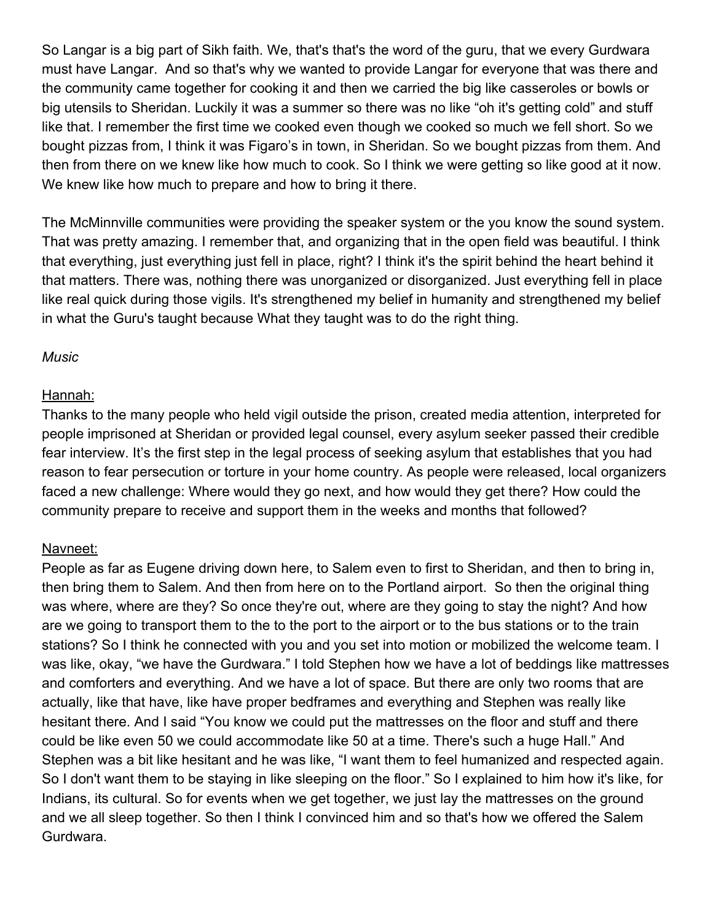So Langar is a big part of Sikh faith. We, that's that's the word of the guru, that we every Gurdwara must have Langar. And so that's why we wanted to provide Langar for everyone that was there and the community came together for cooking it and then we carried the big like casseroles or bowls or big utensils to Sheridan. Luckily it was a summer so there was no like "oh it's getting cold" and stuff like that. I remember the first time we cooked even though we cooked so much we fell short. So we bought pizzas from, I think it was Figaro's in town, in Sheridan. So we bought pizzas from them. And then from there on we knew like how much to cook. So I think we were getting so like good at it now. We knew like how much to prepare and how to bring it there.

The McMinnville communities were providing the speaker system or the you know the sound system. That was pretty amazing. I remember that, and organizing that in the open field was beautiful. I think that everything, just everything just fell in place, right? I think it's the spirit behind the heart behind it that matters. There was, nothing there was unorganized or disorganized. Just everything fell in place like real quick during those vigils. It's strengthened my belief in humanity and strengthened my belief in what the Guru's taught because What they taught was to do the right thing.

#### *Music*

### Hannah:

Thanks to the many people who held vigil outside the prison, created media attention, interpreted for people imprisoned at Sheridan or provided legal counsel, every asylum seeker passed their credible fear interview. It's the first step in the legal process of seeking asylum that establishes that you had reason to fear persecution or torture in your home country. As people were released, local organizers faced a new challenge: Where would they go next, and how would they get there? How could the community prepare to receive and support them in the weeks and months that followed?

## Navneet:

People as far as Eugene driving down here, to Salem even to first to Sheridan, and then to bring in, then bring them to Salem. And then from here on to the Portland airport. So then the original thing was where, where are they? So once they're out, where are they going to stay the night? And how are we going to transport them to the to the port to the airport or to the bus stations or to the train stations? So I think he connected with you and you set into motion or mobilized the welcome team. I was like, okay, "we have the Gurdwara." I told Stephen how we have a lot of beddings like mattresses and comforters and everything. And we have a lot of space. But there are only two rooms that are actually, like that have, like have proper bedframes and everything and Stephen was really like hesitant there. And I said "You know we could put the mattresses on the floor and stuff and there could be like even 50 we could accommodate like 50 at a time. There's such a huge Hall." And Stephen was a bit like hesitant and he was like, "I want them to feel humanized and respected again. So I don't want them to be staying in like sleeping on the floor." So I explained to him how it's like, for Indians, its cultural. So for events when we get together, we just lay the mattresses on the ground and we all sleep together. So then I think I convinced him and so that's how we offered the Salem Gurdwara.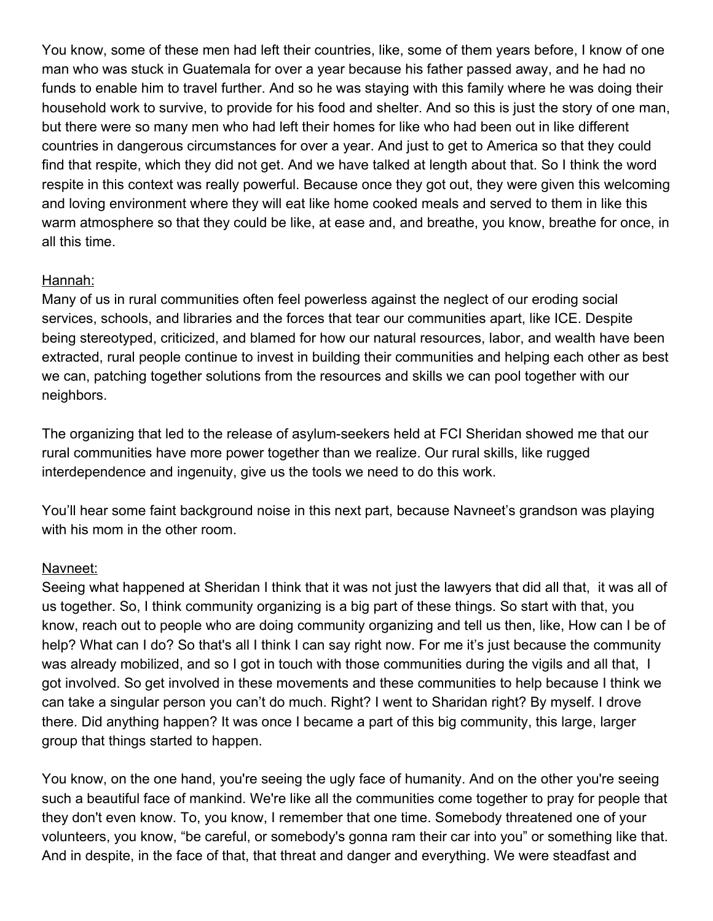You know, some of these men had left their countries, like, some of them years before, I know of one man who was stuck in Guatemala for over a year because his father passed away, and he had no funds to enable him to travel further. And so he was staying with this family where he was doing their household work to survive, to provide for his food and shelter. And so this is just the story of one man, but there were so many men who had left their homes for like who had been out in like different countries in dangerous circumstances for over a year. And just to get to America so that they could find that respite, which they did not get. And we have talked at length about that. So I think the word respite in this context was really powerful. Because once they got out, they were given this welcoming and loving environment where they will eat like home cooked meals and served to them in like this warm atmosphere so that they could be like, at ease and, and breathe, you know, breathe for once, in all this time.

### Hannah:

Many of us in rural communities often feel powerless against the neglect of our eroding social services, schools, and libraries and the forces that tear our communities apart, like ICE. Despite being stereotyped, criticized, and blamed for how our natural resources, labor, and wealth have been extracted, rural people continue to invest in building their communities and helping each other as best we can, patching together solutions from the resources and skills we can pool together with our neighbors.

The organizing that led to the release of asylum-seekers held at FCI Sheridan showed me that our rural communities have more power together than we realize. Our rural skills, like rugged interdependence and ingenuity, give us the tools we need to do this work.

You'll hear some faint background noise in this next part, because Navneet's grandson was playing with his mom in the other room.

## Navneet:

Seeing what happened at Sheridan I think that it was not just the lawyers that did all that, it was all of us together. So, I think community organizing is a big part of these things. So start with that, you know, reach out to people who are doing community organizing and tell us then, like, How can I be of help? What can I do? So that's all I think I can say right now. For me it's just because the community was already mobilized, and so I got in touch with those communities during the vigils and all that, I got involved. So get involved in these movements and these communities to help because I think we can take a singular person you can't do much. Right? I went to Sharidan right? By myself. I drove there. Did anything happen? It was once I became a part of this big community, this large, larger group that things started to happen.

You know, on the one hand, you're seeing the ugly face of humanity. And on the other you're seeing such a beautiful face of mankind. We're like all the communities come together to pray for people that they don't even know. To, you know, I remember that one time. Somebody threatened one of your volunteers, you know, "be careful, or somebody's gonna ram their car into you" or something like that. And in despite, in the face of that, that threat and danger and everything. We were steadfast and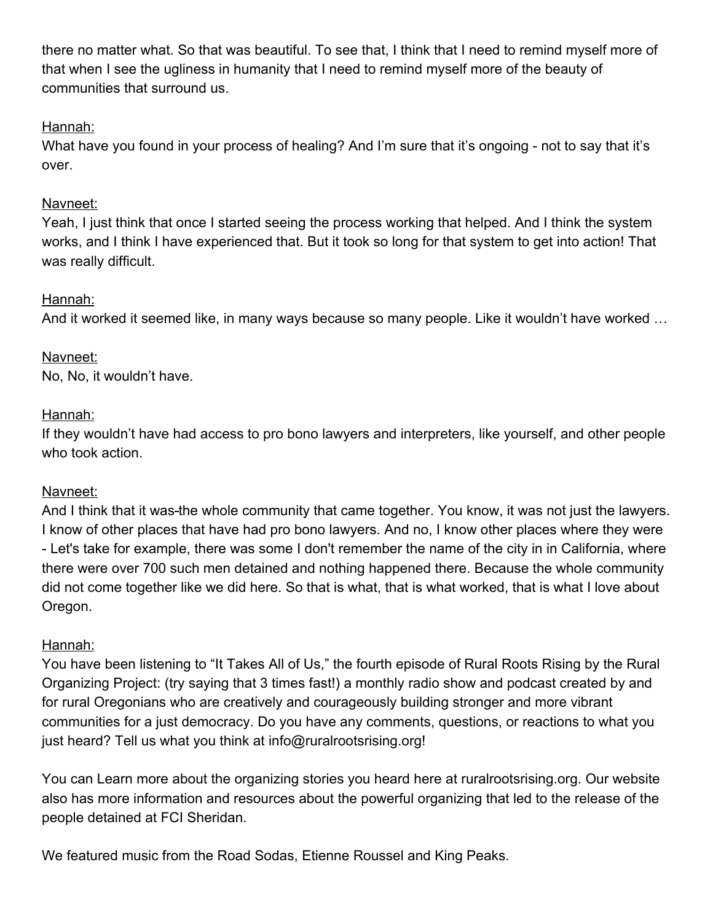there no matter what. So that was beautiful. To see that, I think that I need to remind myself more of that when I see the ugliness in humanity that I need to remind myself more of the beauty of communities that surround us.

## Hannah:

What have you found in your process of healing? And I'm sure that it's ongoing - not to say that it's over.

## Navneet:

Yeah, I just think that once I started seeing the process working that helped. And I think the system works, and I think I have experienced that. But it took so long for that system to get into action! That was really difficult.

## Hannah:

And it worked it seemed like, in many ways because so many people. Like it wouldn't have worked …

# Navneet:

No, No, it wouldn't have.

## Hannah:

If they wouldn't have had access to pro bono lawyers and interpreters, like yourself, and other people who took action.

## Navneet:

And I think that it was-the whole community that came together. You know, it was not just the lawyers. I know of other places that have had pro bono lawyers. And no, I know other places where they were - Let's take for example, there was some I don't remember the name of the city in in California, where there were over 700 such men detained and nothing happened there. Because the whole community did not come together like we did here. So that is what, that is what worked, that is what I love about Oregon.

## Hannah:

You have been listening to "It Takes All of Us," the fourth episode of Rural Roots Rising by the Rural Organizing Project: (try saying that 3 times fast!) a monthly radio show and podcast created by and for rural Oregonians who are creatively and courageously building stronger and more vibrant communities for a just democracy. Do you have any comments, questions, or reactions to what you just heard? Tell us what you think at info@ruralrootsrising.org!

You can Learn more about the organizing stories you heard here at ruralrootsrising.org. Our website also has more information and resources about the powerful organizing that led to the release of the people detained at FCI Sheridan.

We featured music from the Road Sodas, Etienne Roussel and King Peaks.